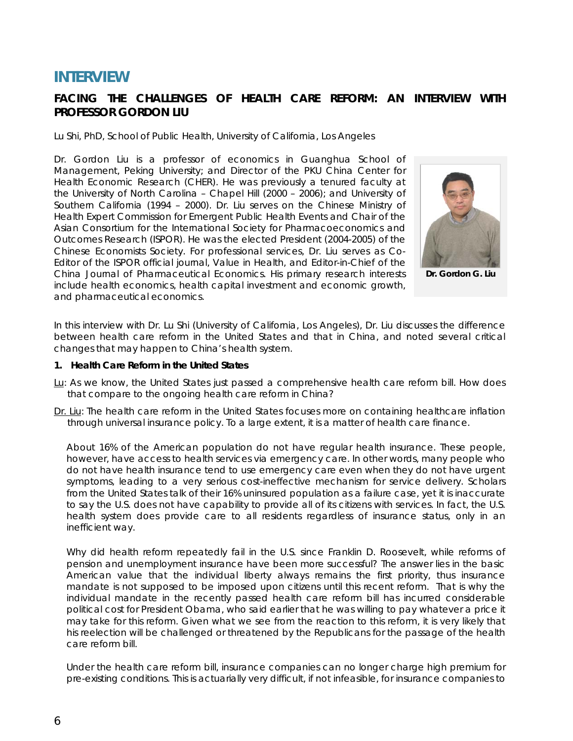# **INTERVIEW**

# **FACING THE CHALLENGES OF HEALTH CARE REFORM: AN INTERVIEW WITH PROFESSOR GORDON LIU**

### *Lu Shi, PhD, School of Public Health, University of California, Los Angeles*

Dr. Gordon Liu is a professor of economics in Guanghua School of Management, Peking University; and Director of the PKU China Center for Health Economic Research (CHER). He was previously a tenured faculty at the University of North Carolina – Chapel Hill (2000 – 2006); and University of Southern California (1994 – 2000). Dr. Liu serves on the Chinese Ministry of Health Expert Commission for Emergent Public Health Events and Chair of the Asian Consortium for the International Society for Pharmacoeconomics and Outcomes Research (ISPOR). He was the elected President (2004-2005) of the Chinese Economists Society. For professional services, Dr. Liu serves as Co-Editor of the ISPOR official journal, *Value in Health*, and Editor-in-Chief of *the China Journal of Pharmaceutical Economics*. His primary research interests include health economics, health capital investment and economic growth, and pharmaceutical economics.



**Dr. Gordon G. Liu** 

In this interview with Dr. Lu Shi (University of California, Los Angeles), Dr. Liu discusses the difference between health care reform in the United States and that in China, and noted several critical changes that may happen to China's health system.

#### **1. Health Care Reform in the United States**

- *Lu*: As we know, the United States just passed a comprehensive health care reform bill. How does that compare to the ongoing health care reform in China?
- *Dr. Liu*: The health care reform in the United States focuses more on containing healthcare inflation through universal insurance policy. To a large extent, it is a matter of health care finance.

About 16% of the American population do not have regular health insurance. These people, however, have access to health services via emergency care. In other words, many people who do not have health insurance tend to use emergency care even when they do not have urgent symptoms, leading to a very serious cost-ineffective mechanism for service delivery. Scholars from the United States talk of their 16% uninsured population as a failure case, yet it is inaccurate to say the U.S. does not have capability to provide all of its citizens with services. In fact, the U.S. health system does provide care to all residents regardless of insurance status, only in an inefficient way.

Why did health reform repeatedly fail in the U.S. since Franklin D. Roosevelt, while reforms of pension and unemployment insurance have been more successful? The answer lies in the basic American value that the individual liberty always remains the first priority, thus insurance mandate is not supposed to be imposed upon citizens until this recent reform. That is why the individual mandate in the recently passed health care reform bill has incurred considerable political cost for President Obama, who said earlier that he was willing to pay whatever a price it may take for this reform. Given what we see from the reaction to this reform, it is very likely that his reelection will be challenged or threatened by the Republicans for the passage of the health care reform bill.

Under the health care reform bill, insurance companies can no longer charge high premium for pre-existing conditions. This is actuarially very difficult, if not infeasible, for insurance companies to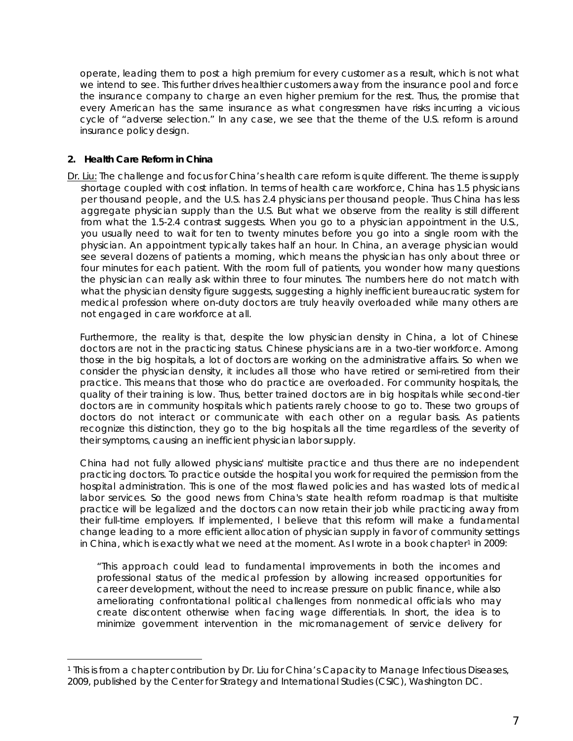operate, leading them to post a high premium for every customer as a result, which is not what we intend to see. This further drives healthier customers away from the insurance pool and force the insurance company to charge an even higher premium for the rest. Thus, the promise that every American has the same insurance as what congressmen have risks incurring a vicious cycle of "adverse selection." In any case, we see that the theme of the U.S. reform is around insurance policy design.

# **2. Health Care Reform in China**

 $\overline{a}$ 

*Dr. Liu*: The challenge and focus for China's health care reform is quite different. The theme is supply shortage coupled with cost inflation. In terms of health care workforce, China has 1.5 physicians per thousand people, and the U.S. has 2.4 physicians per thousand people. Thus China has less aggregate physician supply than the U.S. But what we observe from the reality is still different from what the 1.5-2.4 contrast suggests. When you go to a physician appointment in the U.S., you usually need to wait for ten to twenty minutes before you go into a single room with the physician. An appointment typically takes half an hour. In China, an average physician would see several dozens of patients a morning, which means the physician has only about three or four minutes for each patient. With the room full of patients, you wonder how many questions the physician can really ask within three to four minutes. The numbers here do not match with what the physician density figure suggests, suggesting a highly inefficient bureaucratic system for medical profession where on-duty doctors are truly heavily overloaded while many others are not engaged in care workforce at all.

Furthermore, the reality is that, despite the low physician density in China, a lot of Chinese doctors are not in the practicing status. Chinese physicians are in a two-tier workforce. Among those in the big hospitals, a lot of doctors are working on the administrative affairs. So when we consider the physician density, it includes all those who have retired or semi-retired from their practice. This means that those who do practice are overloaded. For community hospitals, the quality of their training is low. Thus, better trained doctors are in big hospitals while second-tier doctors are in community hospitals which patients rarely choose to go to. These two groups of doctors do not interact or communicate with each other on a regular basis. As patients recognize this distinction, they go to the big hospitals all the time regardless of the severity of their symptoms, causing an inefficient physician labor supply.

China had not fully allowed physicians' multisite practice and thus there are no independent practicing doctors. To practice outside the hospital you work for required the permission from the hospital administration. This is one of the most flawed policies and has wasted lots of medical labor services. So the good news from China's state health reform roadmap is that multisite practice will be legalized and the doctors can now retain their job while practicing away from their full-time employers. If implemented, I believe that this reform will make a fundamental change leading to a more efficient allocation of physician supply in favor of community settings in China, which is exactly what we need at the moment. As I wrote in a book chapter<sup>[1](#page-1-0)</sup> in 2009:

"This approach could lead to fundamental improvements in both the incomes and professional status of the medical profession by allowing increased opportunities for career development, without the need to increase pressure on public finance, while also ameliorating confrontational political challenges from nonmedical officials who may create discontent otherwise when facing wage differentials. In short, the idea is to minimize government intervention in the micromanagement of service delivery for

<span id="page-1-0"></span><sup>1</sup> This is from a chapter contribution by Dr. Liu for *China's Capacity to Manage Infectious Diseases*, 2009, published by the Center for Strategy and International Studies (CSIC), Washington DC.